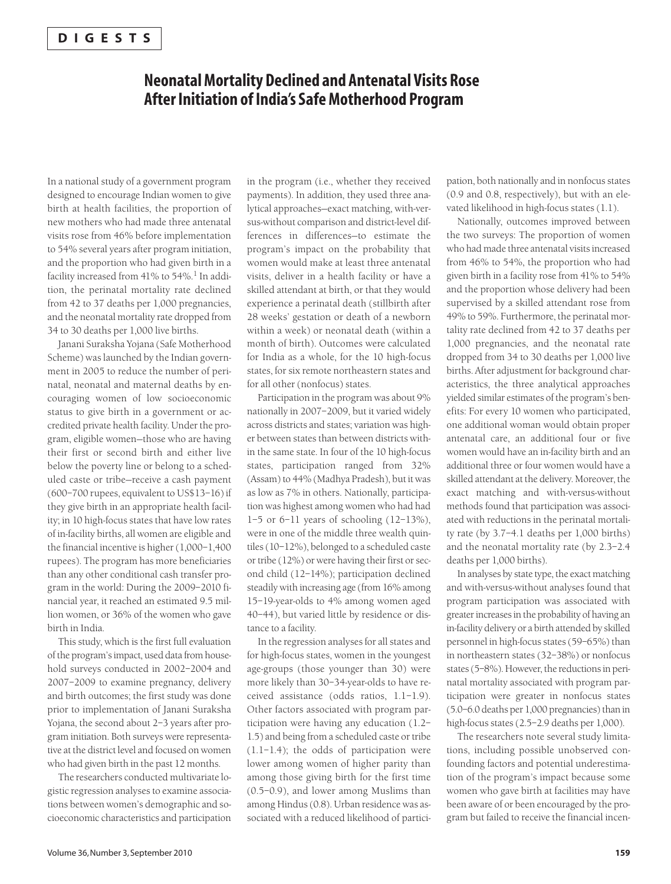## **Neonatal Mortality Declined and Antenatal Visits Rose After Initiation of India's Safe Motherhood Program**

In a national study of a government program designed to encourage Indian women to give birth at health facilities, the proportion of new mothers who had made three antenatal visits rose from 46% before implementation to 54% several years after program initiation, and the proportion who had given birth in a facility increased from 41% to 54%.<sup>1</sup> In addition, the perinatal mortality rate declined from 42 to 37 deaths per 1,000 pregnancies, and the neonatal mortality rate dropped from 34 to 30 deaths per 1,000 live births.

Janani Suraksha Yojana (Safe Motherhood Scheme) was launched by the Indian government in 2005 to reduce the number of perinatal, neonatal and maternal deaths by encouraging women of low socioeconomic status to give birth in a government or accredited private health facility. Under the program, eligible women—those who are having their first or second birth and either live below the poverty line or belong to a scheduled caste or tribe—receive a cash payment (600–700 rupees, equivalent to US\$13–16) if they give birth in an appropriate health facility; in 10 high-focus states that have low rates of in-facility births, all women are eligible and the financial incentive is higher (1,000–1,400 rupees). The program has more beneficiaries than any other conditional cash transfer program in the world: During the 2009–2010 financial year, it reached an estimated 9.5 million women, or 36% of the women who gave birth in India.

This study, which is the first full evaluation of the program's impact, used data from household surveys conducted in 2002–2004 and 2007–2009 to examine pregnancy, delivery and birth outcomes; the first study was done prior to implementation of Janani Suraksha Yojana, the second about 2–3 years after program initiation. Both surveys were representative at the district level and focused on women who had given birth in the past 12 months.

The researchers conducted multivariate logistic regression analyses to examine associations between women's demographic and socioeconomic characteristics and participation in the program (i.e., whether they received payments). In addition, they used three analytical approaches—exact matching, with-versus-without comparison and district-level differences in differences—to estimate the program's impact on the probability that women would make at least three antenatal visits, deliver in a health facility or have a skilled attendant at birth, or that they would experience a perinatal death (stillbirth after 28 weeks' gestation or death of a newborn within a week) or neonatal death (within a month of birth). Outcomes were calculated for India as a whole, for the 10 high-focus states, for six remote northeastern states and for all other (nonfocus) states.

Participation in the program was about 9% nationally in 2007–2009, but it varied widely across districts and states; variation was higher between states than between districts within the same state. In four of the 10 high-focus states, participation ranged from 32% (Assam) to 44% (Madhya Pradesh), but it was as low as 7% in others. Nationally, participation was highest among women who had had 1–5 or 6–11 years of schooling (12–13%), were in one of the middle three wealth quintiles (10–12%), belonged to a scheduled caste or tribe (12%) or were having their first or second child (12–14%); participation declined steadily with increasing age (from 16% among 15–19-year-olds to 4% among women aged 40–44), but varied little by residence or distance to a facility.

In the regression analyses for all states and for high-focus states, women in the youngest age-groups (those younger than 30) were more likely than 30–34-year-olds to have received assistance (odds ratios, 1.1–1.9). Other factors associated with program participation were having any education (1.2– 1.5) and being from a scheduled caste or tribe (1.1–1.4); the odds of participation were lower among women of higher parity than among those giving birth for the first time (0.5–0.9), and lower among Muslims than among Hindus (0.8). Urban residence was associated with a reduced likelihood of partici-

pation, both nationally and in nonfocus states (0.9 and 0.8, respectively), but with an elevated likelihood in high-focus states (1.1).

Nationally, outcomes improved between the two surveys: The proportion of women who had made three antenatal visits increased from 46% to 54%, the proportion who had given birth in a facility rose from 41% to 54% and the proportion whose delivery had been supervised by a skilled attendant rose from 49% to 59%. Furthermore, the perinatal mortality rate declined from 42 to 37 deaths per 1,000 pregnancies, and the neonatal rate dropped from 34 to 30 deaths per 1,000 live births. After adjustment for background characteristics, the three analytical approaches yielded similar estimates of the program's benefits: For every 10 women who participated, one additional woman would obtain proper antenatal care, an additional four or five women would have an in-facility birth and an additional three or four women would have a skilled attendant at the delivery. Moreover, the exact matching and with-versus-without methods found that participation was associated with reductions in the perinatal mortality rate (by 3.7–4.1 deaths per 1,000 births) and the neonatal mortality rate (by 2.3–2.4 deaths per 1,000 births).

In analyses by state type, the exact matching and with-versus-without analyses found that program participation was associated with greater increases in the probability of having an in-facility delivery or a birth attended by skilled personnel in high-focus states (59–65%) than in northeastern states (32–38%) or nonfocus states (5–8%). However, the reductions in perinatal mortality associated with program participation were greater in nonfocus states (5.0–6.0 deaths per 1,000 pregnancies) than in high-focus states (2.5-2.9 deaths per 1,000).

The researchers note several study limitations, including possible unobserved confounding factors and potential underestimation of the program's impact because some women who gave birth at facilities may have been aware of or been encouraged by the program but failed to receive the financial incen-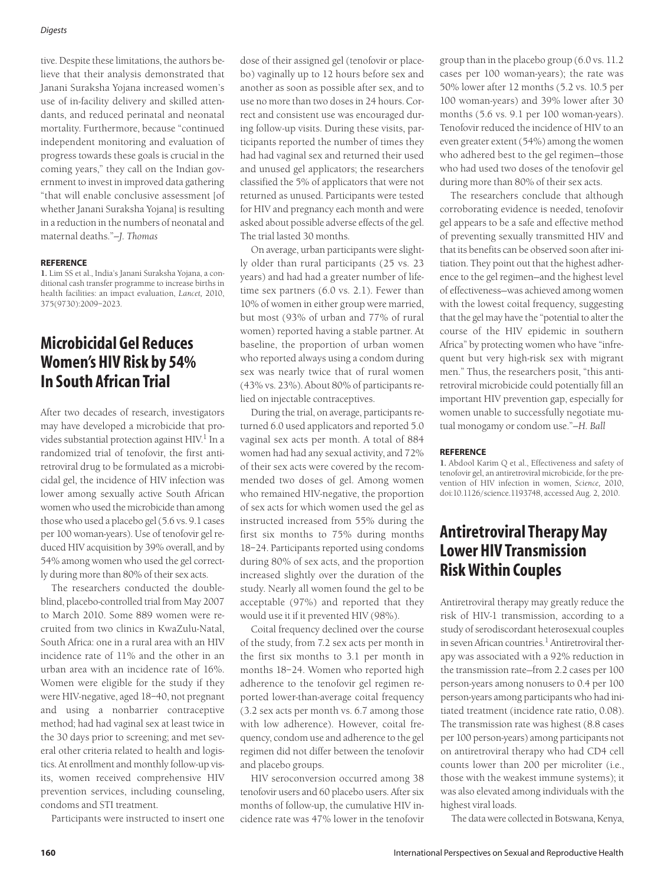#### *Digests*

tive. Despite these limitations, the authors believe that their analysis demonstrated that Janani Suraksha Yojana increased women's use of in-facility delivery and skilled attendants, and reduced perinatal and neonatal mortality. Furthermore, because "continued independent monitoring and evaluation of progress towards these goals is crucial in the coming years," they call on the Indian government to invest in improved data gathering "that will enable conclusive assessment [of whether Janani Suraksha Yojana] is resulting in a reduction in the numbers of neonatal and maternal deaths."*—J. Thomas*

#### **REFERENCE**

**1.** Lim SS et al., India's Janani Suraksha Yojana, a conditional cash transfer programme to increase births in health facilities: an impact evaluation, *Lancet,* 2010, 375(9730):2009–2023.

## **Microbicidal Gel Reduces Women's HIV Risk by 54% In South African Trial**

After two decades of research, investigators may have developed a microbicide that provides substantial protection against  $HIV<sup>1</sup>$  In a randomized trial of tenofovir, the first antiretroviral drug to be formulated as a microbicidal gel, the incidence of HIV infection was lower among sexually active South African women who used the microbicide than among those who used a placebo gel (5.6 vs. 9.1 cases per 100 woman-years). Use of tenofovir gel reduced HIV acquisition by 39% overall, and by 54% among women who used the gel correctly during more than 80% of their sex acts.

The researchers conducted the doubleblind, placebo-controlled trial from May 2007 to March 2010. Some 889 women were recruited from two clinics in KwaZulu-Natal, South Africa: one in a rural area with an HIV incidence rate of 11% and the other in an urban area with an incidence rate of 16%. Women were eligible for the study if they were HIV-negative, aged 18–40, not pregnant and using a nonbarrier contraceptive method; had had vaginal sex at least twice in the 30 days prior to screening; and met several other criteria related to health and logistics. At enrollment and monthly follow-up visits, women received comprehensive HIV prevention services, including counseling, condoms and STI treatment.

Participants were instructed to insert one

dose of their assigned gel (tenofovir or placebo) vaginally up to 12 hours before sex and another as soon as possible after sex, and to use no more than two doses in 24 hours. Correct and consistent use was encouraged during follow-up visits. During these visits, participants reported the number of times they had had vaginal sex and returned their used and unused gel applicators; the researchers classified the 5% of applicators that were not returned as unused. Participants were tested for HIV and pregnancy each month and were asked about possible adverse effects of the gel. The trial lasted 30 months.

On average, urban participants were slightly older than rural participants (25 vs. 23 years) and had had a greater number of lifetime sex partners (6.0 vs. 2.1). Fewer than 10% of women in either group were married, but most (93% of urban and 77% of rural women) reported having a stable partner. At baseline, the proportion of urban women who reported always using a condom during sex was nearly twice that of rural women (43% vs. 23%). About 80% of participants relied on injectable contraceptives.

During the trial, on average, participants returned 6.0 used applicators and reported 5.0 vaginal sex acts per month. A total of 884 women had had any sexual activity, and 72% of their sex acts were covered by the recommended two doses of gel. Among women who remained HIV-negative, the proportion of sex acts for which women used the gel as instructed increased from 55% during the first six months to 75% during months 18–24. Participants reported using condoms during 80% of sex acts, and the proportion increased slightly over the duration of the study. Nearly all women found the gel to be acceptable (97%) and reported that they would use it if it prevented HIV (98%).

Coital frequency declined over the course of the study, from 7.2 sex acts per month in the first six months to 3.1 per month in months 18–24. Women who reported high adherence to the tenofovir gel regimen reported lower-than-average coital frequency (3.2 sex acts per month vs. 6.7 among those with low adherence). However, coital frequency, condom use and adherence to the gel regimen did not differ between the tenofovir and placebo groups.

HIV seroconversion occurred among 38 tenofovir users and 60 placebo users. After six months of follow-up, the cumulative HIV incidence rate was 47% lower in the tenofovir

group than in the placebo group (6.0 vs. 11.2 cases per 100 woman-years); the rate was 50% lower after 12 months (5.2 vs. 10.5 per 100 woman-years) and 39% lower after 30 months (5.6 vs. 9.1 per 100 woman-years). Tenofovir reduced the incidence of HIV to an even greater extent (54%) among the women who adhered best to the gel regimen—those who had used two doses of the tenofovir gel during more than 80% of their sex acts.

The researchers conclude that although corroborating evidence is needed, tenofovir gel appears to be a safe and effective method of preventing sexually transmitted HIV and that its benefits can be observed soon after initiation. They point out that the highest adherence to the gel regimen—and the highest level of effectiveness—was achieved among women with the lowest coital frequency, suggesting that the gel may have the "potential to alter the course of the HIV epidemic in southern Africa" by protecting women who have "infrequent but very high-risk sex with migrant men." Thus, the researchers posit, "this antiretroviral microbicide could potentially fill an important HIV prevention gap, especially for women unable to successfully negotiate mutual monogamy or condom use."*—H. Ball*

### **REFERENCE**

**1.** Abdool Karim Q et al., Effectiveness and safety of tenofovir gel, an antiretroviral microbicide, for the prevention of HIV infection in women, *Science,* 2010, doi:10.1126/science.1193748, accessed Aug. 2, 2010.

# **Antiretroviral Therapy May Lower HIV Transmission Risk Within Couples**

Antiretroviral therapy may greatly reduce the risk of HIV-1 transmission, according to a study of serodiscordant heterosexual couples in seven African countries.<sup>1</sup> Antiretroviral therapy was associated with a 92% reduction in the transmission rate—from 2.2 cases per 100 person-years among nonusers to 0.4 per 100 person-years among participants who had initiated treatment (incidence rate ratio, 0.08). The transmission rate was highest (8.8 cases per 100 person-years) among participants not on antiretroviral therapy who had CD4 cell counts lower than 200 per microliter (i.e., those with the weakest immune systems); it was also elevated among individuals with the highest viral loads.

The data were collected in Botswana, Kenya,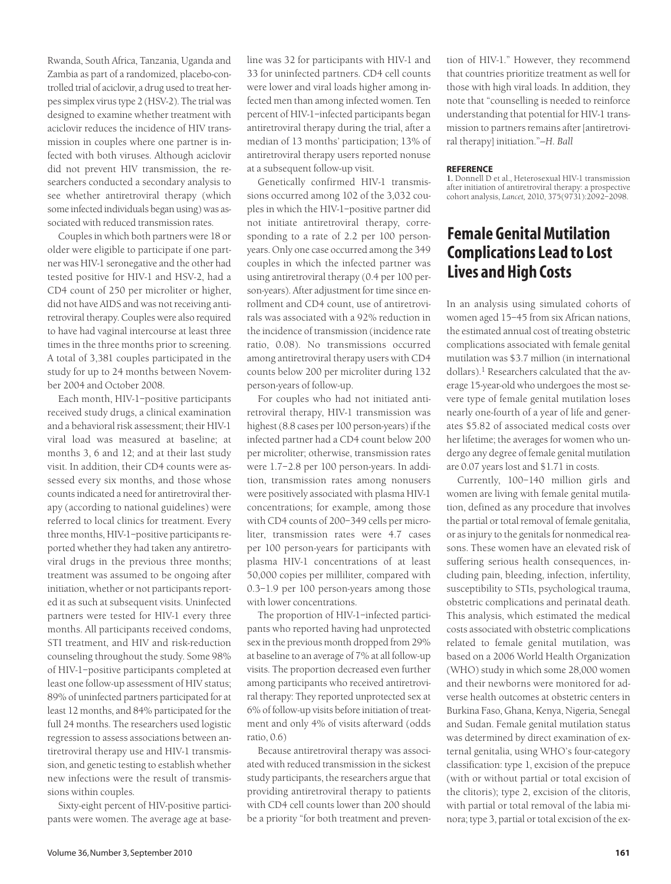Rwanda, South Africa, Tanzania, Uganda and Zambia as part of a randomized, placebo-controlled trial of aciclovir, a drug used to treat herpes simplex virus type 2 (HSV-2). The trial was designed to examine whether treatment with aciclovir reduces the incidence of HIV transmission in couples where one partner is infected with both viruses. Although aciclovir did not prevent HIV transmission, the researchers conducted a secondary analysis to see whether antiretroviral therapy (which some infected individuals began using) was associated with reduced transmission rates.

Couples in which both partners were 18 or older were eligible to participate if one partner was HIV-1 seronegative and the other had tested positive for HIV-1 and HSV-2, had a CD4 count of 250 per microliter or higher, did not have AIDS and was not receiving antiretroviral therapy. Couples were also required to have had vaginal intercourse at least three times in the three months prior to screening. A total of 3,381 couples participated in the study for up to 24 months between November 2004 and October 2008.

Each month, HIV-1–positive participants received study drugs, a clinical examination and a behavioral risk assessment; their HIV-1 viral load was measured at baseline; at months 3, 6 and 12; and at their last study visit. In addition, their CD4 counts were assessed every six months, and those whose counts indicated a need for antiretroviral therapy (according to national guidelines) were referred to local clinics for treatment. Every three months, HIV-1–positive participants reported whether they had taken any antiretroviral drugs in the previous three months; treatment was assumed to be ongoing after initiation, whether or not participants reported it as such at subsequent visits. Uninfected partners were tested for HIV-1 every three months. All participants received condoms, STI treatment, and HIV and risk-reduction counseling throughout the study. Some 98% of HIV-1–positive participants completed at least one follow-up assessment of HIV status; 89% of uninfected partners participated for at least 12 months, and 84% participated for the full 24 months. The researchers used logistic regression to assess associations between antiretroviral therapy use and HIV-1 transmission, and genetic testing to establish whether new infections were the result of transmissions within couples.

Sixty-eight percent of HIV-positive participants were women. The average age at baseline was 32 for participants with HIV-1 and 33 for uninfected partners. CD4 cell counts were lower and viral loads higher among infected men than among infected women. Ten percent of HIV-1–infected participants began antiretroviral therapy during the trial, after a median of 13 months' participation; 13% of antiretroviral therapy users reported nonuse at a subsequent follow-up visit.

Genetically confirmed HIV-1 transmissions occurred among 102 of the 3,032 couples in which the HIV-1–positive partner did not initiate antiretroviral therapy, corresponding to a rate of 2.2 per 100 personyears. Only one case occurred among the 349 couples in which the infected partner was using antiretroviral therapy (0.4 per 100 person-years). After adjustment for time since enrollment and CD4 count, use of antiretrovirals was associated with a 92% reduction in the incidence of transmission (incidence rate ratio, 0.08). No transmissions occurred among antiretroviral therapy users with CD4 counts below 200 per microliter during 132 person-years of follow-up.

For couples who had not initiated antiretroviral therapy, HIV-1 transmission was highest (8.8 cases per 100 person-years) if the infected partner had a CD4 count below 200 per microliter; otherwise, transmission rates were 1.7–2.8 per 100 person-years. In addition, transmission rates among nonusers were positively associated with plasma HIV-1 concentrations; for example, among those with CD4 counts of 200–349 cells per microliter, transmission rates were 4.7 cases per 100 person-years for participants with plasma HIV-1 concentrations of at least 50,000 copies per milliliter, compared with 0.3–1.9 per 100 person-years among those with lower concentrations.

The proportion of HIV-1–infected participants who reported having had unprotected sex in the previous month dropped from 29% at baseline to an average of 7% at all follow-up visits. The proportion decreased even further among participants who received antiretroviral therapy: They reported unprotected sex at 6% of follow-up visits before initiation of treatment and only 4% of visits afterward (odds ratio, 0.6)

Because antiretroviral therapy was associated with reduced transmission in the sickest study participants, the researchers argue that providing antiretroviral therapy to patients with CD4 cell counts lower than 200 should be a priority "for both treatment and prevention of HIV-1." However, they recommend that countries prioritize treatment as well for those with high viral loads. In addition, they note that "counselling is needed to reinforce understanding that potential for HIV-1 transmission to partners remains after [antiretroviral therapy] initiation."*—H. Ball*

#### **REFERENCE**

**1.** Donnell D et al., Heterosexual HIV-1 transmission after initiation of antiretroviral therapy: a prospective cohort analysis, *Lancet,* 2010, 375(9731):2092–2098.

## **Female Genital Mutilation Complications Lead to Lost Lives and High Costs**

In an analysis using simulated cohorts of women aged 15–45 from six African nations, the estimated annual cost of treating obstetric complications associated with female genital mutilation was \$3.7 million (in international dollars).<sup>1</sup> Researchers calculated that the average 15-year-old who undergoes the most severe type of female genital mutilation loses nearly one-fourth of a year of life and generates \$5.82 of associated medical costs over her lifetime; the averages for women who undergo any degree of female genital mutilation are 0.07 years lost and \$1.71 in costs.

Currently, 100–140 million girls and women are living with female genital mutilation, defined as any procedure that involves the partial or total removal of female genitalia, or as injury to the genitals for nonmedical reasons. These women have an elevated risk of suffering serious health consequences, including pain, bleeding, infection, infertility, susceptibility to STIs, psychological trauma, obstetric complications and perinatal death. This analysis, which estimated the medical costs associated with obstetric complications related to female genital mutilation, was based on a 2006 World Health Organization (WHO) study in which some 28,000 women and their newborns were monitored for adverse health outcomes at obstetric centers in Burkina Faso, Ghana, Kenya, Nigeria, Senegal and Sudan. Female genital mutilation status was determined by direct examination of external genitalia, using WHO's four-category classification: type 1, excision of the prepuce (with or without partial or total excision of the clitoris); type 2, excision of the clitoris, with partial or total removal of the labia minora; type 3, partial or total excision of the ex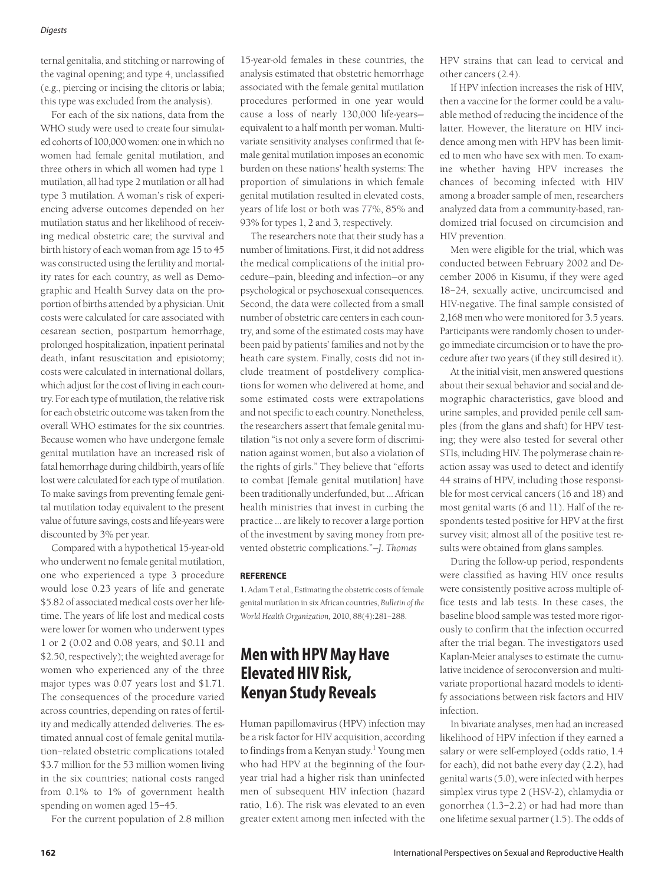ternal genitalia, and stitching or narrowing of the vaginal opening; and type 4, unclassified (e.g., piercing or incising the clitoris or labia; this type was excluded from the analysis).

For each of the six nations, data from the WHO study were used to create four simulated cohorts of 100,000 women: one in which no women had female genital mutilation, and three others in which all women had type 1 mutilation, all had type 2 mutilation or all had type 3 mutilation. A woman's risk of experiencing adverse outcomes depended on her mutilation status and her likelihood of receiving medical obstetric care; the survival and birth history of each woman from age 15 to 45 was constructed using the fertility and mortality rates for each country, as well as Demographic and Health Survey data on the proportion of births attended by a physician. Unit costs were calculated for care associated with cesarean section, postpartum hemorrhage, prolonged hospitalization, inpatient perinatal death, infant resuscitation and episiotomy; costs were calculated in international dollars, which adjust for the cost of living in each country. For each type of mutilation, the relative risk for each obstetric outcome was taken from the overall WHO estimates for the six countries. Because women who have undergone female genital mutilation have an increased risk of fatal hemorrhage during childbirth, years of life lost were calculated for each type of mutilation. To make savings from preventing female genital mutilation today equivalent to the present value of future savings, costs and life-years were discounted by 3% per year.

Compared with a hypothetical 15-year-old who underwent no female genital mutilation, one who experienced a type 3 procedure would lose 0.23 years of life and generate \$5.82 of associated medical costs over her lifetime. The years of life lost and medical costs were lower for women who underwent types 1 or 2 (0.02 and 0.08 years, and \$0.11 and \$2.50, respectively); the weighted average for women who experienced any of the three major types was 0.07 years lost and \$1.71. The consequences of the procedure varied across countries, depending on rates of fertility and medically attended deliveries. The estimated annual cost of female genital mutilation–related obstetric complications totaled \$3.7 million for the 53 million women living in the six countries; national costs ranged from 0.1% to 1% of government health spending on women aged 15–45.

For the current population of 2.8 million

15-year-old females in these countries, the analysis estimated that obstetric hemorrhage associated with the female genital mutilation procedures performed in one year would cause a loss of nearly 130,000 life-years equivalent to a half month per woman. Multivariate sensitivity analyses confirmed that female genital mutilation imposes an economic burden on these nations' health systems: The proportion of simulations in which female genital mutilation resulted in elevated costs, years of life lost or both was 77%, 85% and 93% for types 1, 2 and 3, respectively.

The researchers note that their study has a number of limitations. First, it did not address the medical complications of the initial procedure—pain, bleeding and infection—or any psychological or psychosexual consequences. Second, the data were collected from a small number of obstetric care centers in each country, and some of the estimated costs may have been paid by patients' families and not by the heath care system. Finally, costs did not include treatment of postdelivery complications for women who delivered at home, and some estimated costs were extrapolations and not specific to each country. Nonetheless, the researchers assert that female genital mutilation "is not only a severe form of discrimination against women, but also a violation of the rights of girls." They believe that "efforts to combat [female genital mutilation] have been traditionally underfunded, but … African health ministries that invest in curbing the practice … are likely to recover a large portion of the investment by saving money from prevented obstetric complications."*—J. Thomas*

### **REFERENCE**

**1.** Adam T et al., Estimating the obstetric costs of female genital mutilation in six African countries, *Bulletin of the World Health Organization,* 2010, 88(4):281–288.

### **Men with HPV May Have Elevated HIV Risk, Kenyan Study Reveals**

Human papillomavirus (HPV) infection may be a risk factor for HIV acquisition, according to findings from a Kenyan study.<sup>1</sup> Young men who had HPV at the beginning of the fouryear trial had a higher risk than uninfected men of subsequent HIV infection (hazard ratio, 1.6). The risk was elevated to an even greater extent among men infected with the

HPV strains that can lead to cervical and other cancers (2.4).

If HPV infection increases the risk of HIV, then a vaccine for the former could be a valuable method of reducing the incidence of the latter. However, the literature on HIV incidence among men with HPV has been limited to men who have sex with men. To examine whether having HPV increases the chances of becoming infected with HIV among a broader sample of men, researchers analyzed data from a community-based, randomized trial focused on circumcision and HIV prevention.

Men were eligible for the trial, which was conducted between February 2002 and December 2006 in Kisumu, if they were aged 18–24, sexually active, uncircumcised and HIV-negative. The final sample consisted of 2,168 men who were monitored for 3.5 years. Participants were randomly chosen to undergo immediate circumcision or to have the procedure after two years (if they still desired it).

At the initial visit, men answered questions about their sexual behavior and social and demographic characteristics, gave blood and urine samples, and provided penile cell samples (from the glans and shaft) for HPV testing; they were also tested for several other STIs, including HIV. The polymerase chain reaction assay was used to detect and identify 44 strains of HPV, including those responsible for most cervical cancers (16 and 18) and most genital warts (6 and 11). Half of the respondents tested positive for HPV at the first survey visit; almost all of the positive test results were obtained from glans samples.

During the follow-up period, respondents were classified as having HIV once results were consistently positive across multiple office tests and lab tests. In these cases, the baseline blood sample was tested more rigorously to confirm that the infection occurred after the trial began. The investigators used Kaplan-Meier analyses to estimate the cumulative incidence of seroconversion and multivariate proportional hazard models to identify associations between risk factors and HIV infection.

In bivariate analyses, men had an increased likelihood of HPV infection if they earned a salary or were self-employed (odds ratio, 1.4 for each), did not bathe every day (2.2), had genital warts (5.0), were infected with herpes simplex virus type 2 (HSV-2), chlamydia or gonorrhea (1.3–2.2) or had had more than one lifetime sexual partner (1.5). The odds of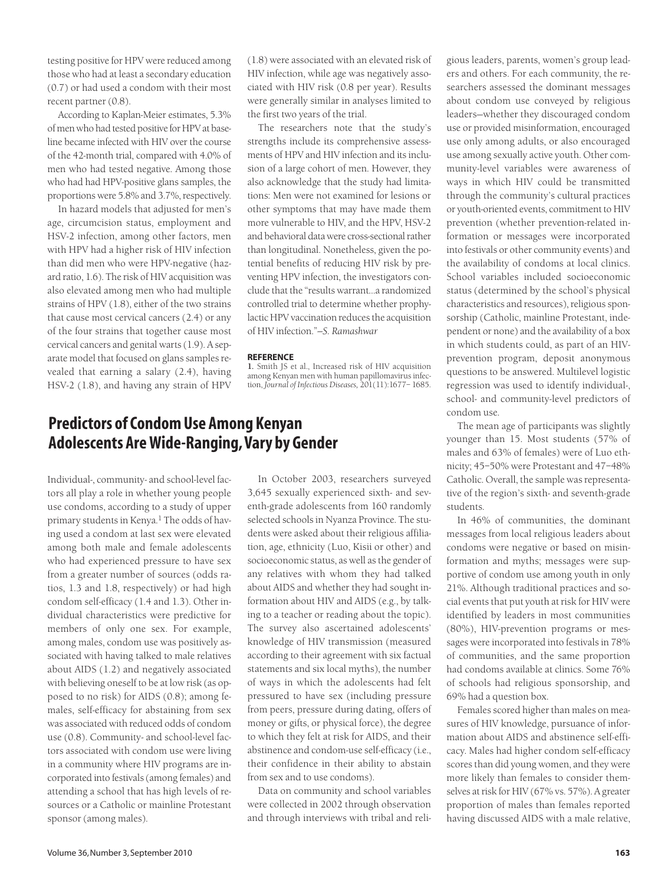testing positive for HPV were reduced among those who had at least a secondary education (0.7) or had used a condom with their most recent partner (0.8).

According to Kaplan-Meier estimates, 5.3% of men who had tested positive for HPV at baseline became infected with HIV over the course of the 42-month trial, compared with 4.0% of men who had tested negative. Among those who had had HPV-positive glans samples, the proportions were 5.8% and 3.7%, respectively.

In hazard models that adjusted for men's age, circumcision status, employment and HSV-2 infection, among other factors, men with HPV had a higher risk of HIV infection than did men who were HPV-negative (hazard ratio, 1.6). The risk of HIV acquisition was also elevated among men who had multiple strains of HPV (1.8), either of the two strains that cause most cervical cancers (2.4) or any of the four strains that together cause most cervical cancers and genital warts (1.9). A separate model that focused on glans samples revealed that earning a salary (2.4), having HSV-2 (1.8), and having any strain of HPV

(1.8) were associated with an elevated risk of HIV infection, while age was negatively associated with HIV risk (0.8 per year). Results were generally similar in analyses limited to the first two years of the trial.

The researchers note that the study's strengths include its comprehensive assessments of HPV and HIV infection and its inclusion of a large cohort of men. However, they also acknowledge that the study had limitations: Men were not examined for lesions or other symptoms that may have made them more vulnerable to HIV, and the HPV, HSV-2 and behavioral data were cross-sectional rather than longitudinal. Nonetheless, given the potential benefits of reducing HIV risk by preventing HPV infection, the investigators conclude that the "results warrant…a randomized controlled trial to determine whether prophylactic HPV vaccination reduces the acquisition of HIV infection."*—S. Ramashwar*

#### **REFERENCE**

**1.** Smith JS et al., Increased risk of HIV acquisition among Kenyan men with human papillomavirus infection, *Journal of Infectious Diseases,* 201(11):1677– 1685.

# **Predictors of Condom Use Among Kenyan Adolescents Are Wide-Ranging, Vary by Gender**

Individual-, community- and school-level factors all play a role in whether young people use condoms, according to a study of upper primary students in Kenya.<sup>1</sup> The odds of having used a condom at last sex were elevated among both male and female adolescents who had experienced pressure to have sex from a greater number of sources (odds ratios, 1.3 and 1.8, respectively) or had high condom self-efficacy (1.4 and 1.3). Other individual characteristics were predictive for members of only one sex. For example, among males, condom use was positively associated with having talked to male relatives about AIDS (1.2) and negatively associated with believing oneself to be at low risk (as opposed to no risk) for AIDS (0.8); among females, self-efficacy for abstaining from sex was associated with reduced odds of condom use (0.8). Community- and school-level factors associated with condom use were living in a community where HIV programs are incorporated into festivals (among females) and attending a school that has high levels of resources or a Catholic or mainline Protestant sponsor (among males).

In October 2003, researchers surveyed 3,645 sexually experienced sixth- and seventh-grade adolescents from 160 randomly selected schools in Nyanza Province. The students were asked about their religious affiliation, age, ethnicity (Luo, Kisii or other) and socioeconomic status, as well as the gender of any relatives with whom they had talked about AIDS and whether they had sought information about HIV and AIDS (e.g., by talking to a teacher or reading about the topic). The survey also ascertained adolescents' knowledge of HIV transmission (measured according to their agreement with six factual statements and six local myths), the number of ways in which the adolescents had felt pressured to have sex (including pressure from peers, pressure during dating, offers of money or gifts, or physical force), the degree to which they felt at risk for AIDS, and their abstinence and condom-use self-efficacy (i.e., their confidence in their ability to abstain from sex and to use condoms).

Data on community and school variables were collected in 2002 through observation and through interviews with tribal and reli-

gious leaders, parents, women's group leaders and others. For each community, the researchers assessed the dominant messages about condom use conveyed by religious leaders—whether they discouraged condom use or provided misinformation, encouraged use only among adults, or also encouraged use among sexually active youth. Other community-level variables were awareness of ways in which HIV could be transmitted through the community's cultural practices or youth-oriented events, commitment to HIV prevention (whether prevention-related information or messages were incorporated into festivals or other community events) and the availability of condoms at local clinics. School variables included socioeconomic status (determined by the school's physical characteristics and resources), religious sponsorship (Catholic, mainline Protestant, independent or none) and the availability of a box in which students could, as part of an HIVprevention program, deposit anonymous questions to be answered. Multilevel logistic regression was used to identify individual-, school- and community-level predictors of condom use.

The mean age of participants was slightly younger than 15. Most students (57% of males and 63% of females) were of Luo ethnicity; 45–50% were Protestant and 47–48% Catholic. Overall, the sample was representative of the region's sixth- and seventh-grade students.

In 46% of communities, the dominant messages from local religious leaders about condoms were negative or based on misinformation and myths; messages were supportive of condom use among youth in only 21%. Although traditional practices and social events that put youth at risk for HIV were identified by leaders in most communities (80%), HIV-prevention programs or messages were incorporated into festivals in 78% of communities, and the same proportion had condoms available at clinics. Some 76% of schools had religious sponsorship, and 69% had a question box.

Females scored higher than males on measures of HIV knowledge, pursuance of information about AIDS and abstinence self-efficacy. Males had higher condom self-efficacy scores than did young women, and they were more likely than females to consider themselves at risk for HIV (67% vs. 57%). A greater proportion of males than females reported having discussed AIDS with a male relative,